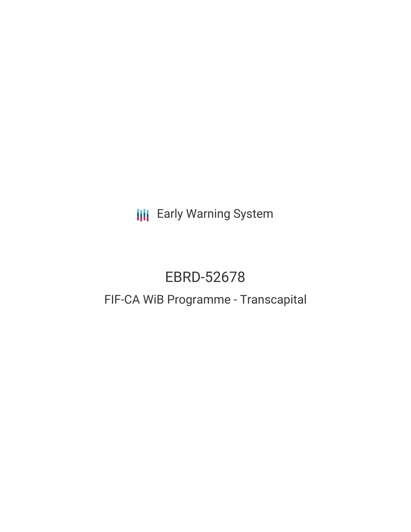**III** Early Warning System

# EBRD-52678

# FIF-CA WiB Programme - Transcapital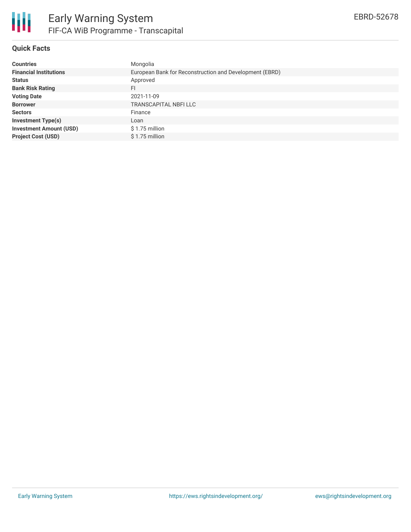

# **Quick Facts**

| <b>Countries</b>               | Mongolia                                                |
|--------------------------------|---------------------------------------------------------|
| <b>Financial Institutions</b>  | European Bank for Reconstruction and Development (EBRD) |
| <b>Status</b>                  | Approved                                                |
| <b>Bank Risk Rating</b>        | FI                                                      |
| <b>Voting Date</b>             | 2021-11-09                                              |
| <b>Borrower</b>                | TRANSCAPITAL NBFI LLC                                   |
| <b>Sectors</b>                 | Finance                                                 |
| <b>Investment Type(s)</b>      | Loan                                                    |
| <b>Investment Amount (USD)</b> | $$1.75$ million                                         |
| <b>Project Cost (USD)</b>      | $$1.75$ million                                         |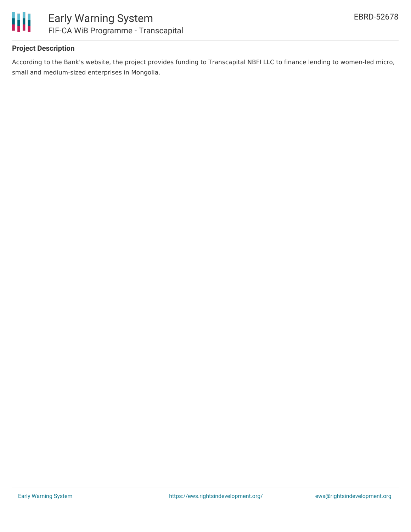

# **Project Description**

According to the Bank's website, the project provides funding to Transcapital NBFI LLC to finance lending to women-led micro, small and medium-sized enterprises in Mongolia.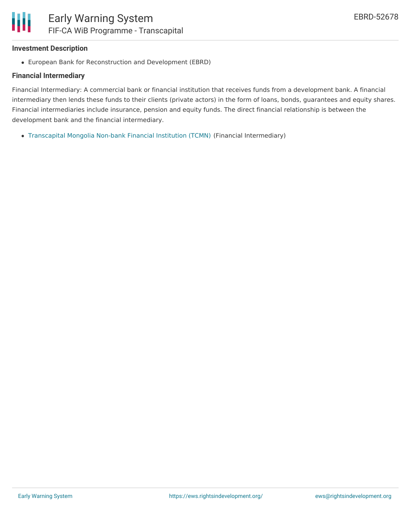## **Investment Description**

European Bank for Reconstruction and Development (EBRD)

### **Financial Intermediary**

Financial Intermediary: A commercial bank or financial institution that receives funds from a development bank. A financial intermediary then lends these funds to their clients (private actors) in the form of loans, bonds, guarantees and equity shares. Financial intermediaries include insurance, pension and equity funds. The direct financial relationship is between the development bank and the financial intermediary.

[Transcapital](file:///actor/3769/) Mongolia Non-bank Financial Institution (TCMN) (Financial Intermediary)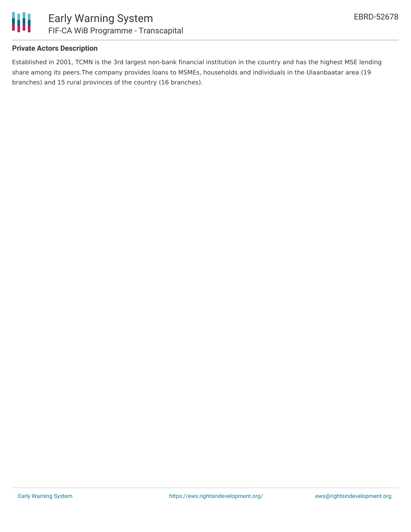

# **Private Actors Description**

Established in 2001, TCMN is the 3rd largest non-bank financial institution in the country and has the highest MSE lending share among its peers.The company provides loans to MSMEs, households and individuals in the Ulaanbaatar area (19 branches) and 15 rural provinces of the country (16 branches).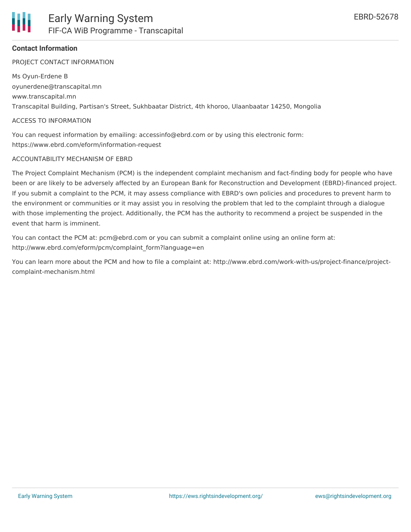PROJECT CONTACT INFORMATION

Ms Oyun-Erdene B oyunerdene@transcapital.mn www.transcapital.mn Transcapital Building, Partisan's Street, Sukhbaatar District, 4th khoroo, Ulaanbaatar 14250, Mongolia

#### ACCESS TO INFORMATION

You can request information by emailing: accessinfo@ebrd.com or by using this electronic form: https://www.ebrd.com/eform/information-request

#### ACCOUNTABILITY MECHANISM OF EBRD

The Project Complaint Mechanism (PCM) is the independent complaint mechanism and fact-finding body for people who have been or are likely to be adversely affected by an European Bank for Reconstruction and Development (EBRD)-financed project. If you submit a complaint to the PCM, it may assess compliance with EBRD's own policies and procedures to prevent harm to the environment or communities or it may assist you in resolving the problem that led to the complaint through a dialogue with those implementing the project. Additionally, the PCM has the authority to recommend a project be suspended in the event that harm is imminent.

You can contact the PCM at: pcm@ebrd.com or you can submit a complaint online using an online form at: http://www.ebrd.com/eform/pcm/complaint\_form?language=en

You can learn more about the PCM and how to file a complaint at: http://www.ebrd.com/work-with-us/project-finance/projectcomplaint-mechanism.html